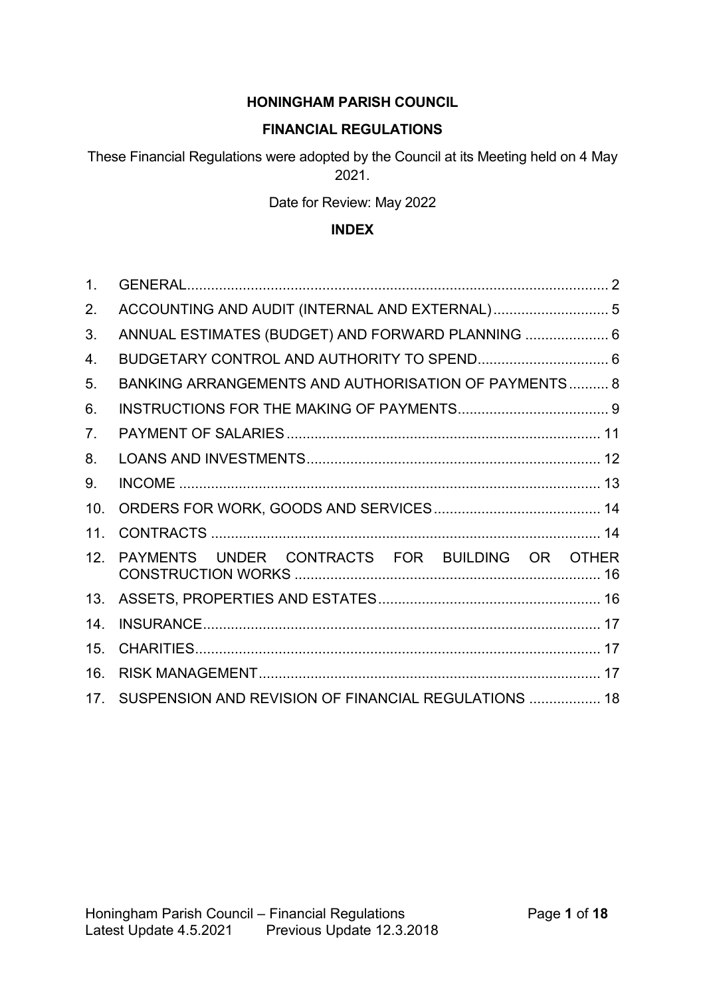### **HONINGHAM PARISH COUNCIL**

#### **FINANCIAL REGULATIONS**

These Financial Regulations were adopted by the Council at its Meeting held on 4 May 2021.

Date for Review: May 2022

#### **INDEX**

| 1.  |                                                      |  |
|-----|------------------------------------------------------|--|
| 2.  |                                                      |  |
| 3.  | ANNUAL ESTIMATES (BUDGET) AND FORWARD PLANNING  6    |  |
| 4.  |                                                      |  |
| 5.  | BANKING ARRANGEMENTS AND AUTHORISATION OF PAYMENTS 8 |  |
| 6.  |                                                      |  |
| 7.  |                                                      |  |
| 8.  |                                                      |  |
| 9.  |                                                      |  |
| 10. |                                                      |  |
| 11. |                                                      |  |
| 12. | PAYMENTS UNDER CONTRACTS FOR BUILDING OR OTHER       |  |
| 13. |                                                      |  |
| 14. |                                                      |  |
| 15. |                                                      |  |
| 16. |                                                      |  |
| 17. | SUSPENSION AND REVISION OF FINANCIAL REGULATIONS  18 |  |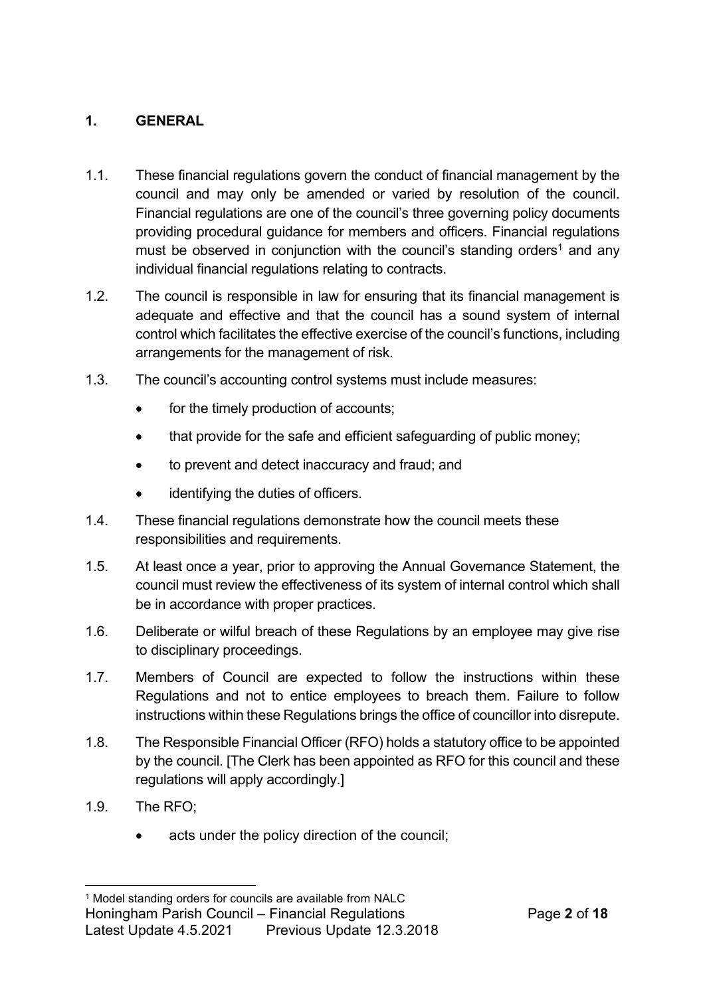# **1. GENERAL**

- 1.1. These financial regulations govern the conduct of financial management by the council and may only be amended or varied by resolution of the council. Financial regulations are one of the council's three governing policy documents providing procedural guidance for members and officers. Financial regulations must be observed in conjunction with the council's standing orders<sup>1</sup> and any individual financial regulations relating to contracts.
- 1.2. The council is responsible in law for ensuring that its financial management is adequate and effective and that the council has a sound system of internal control which facilitates the effective exercise of the council's functions, including arrangements for the management of risk.
- 1.3. The council's accounting control systems must include measures:
	- for the timely production of accounts;
	- that provide for the safe and efficient safeguarding of public money;
	- to prevent and detect inaccuracy and fraud; and
	- identifying the duties of officers.
- 1.4. These financial regulations demonstrate how the council meets these responsibilities and requirements.
- 1.5. At least once a year, prior to approving the Annual Governance Statement, the council must review the effectiveness of its system of internal control which shall be in accordance with proper practices.
- 1.6. Deliberate or wilful breach of these Regulations by an employee may give rise to disciplinary proceedings.
- 1.7. Members of Council are expected to follow the instructions within these Regulations and not to entice employees to breach them. Failure to follow instructions within these Regulations brings the office of councillor into disrepute.
- 1.8. The Responsible Financial Officer (RFO) holds a statutory office to be appointed by the council. [The Clerk has been appointed as RFO for this council and these regulations will apply accordingly.]
- 1.9. The RFO;
	- acts under the policy direction of the council:

Honingham Parish Council – Financial Regulations Page **2** of **18**

<sup>&</sup>lt;sup>1</sup> Model standing orders for councils are available from NALC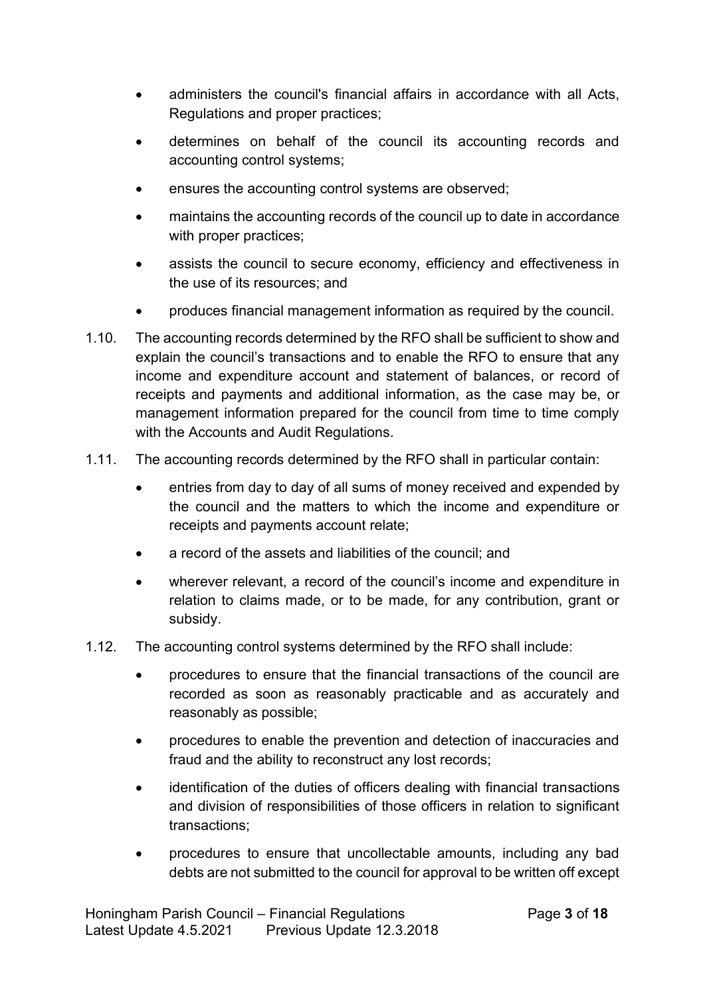- administers the council's financial affairs in accordance with all Acts, Regulations and proper practices;
- determines on behalf of the council its accounting records and accounting control systems;
- ensures the accounting control systems are observed;
- maintains the accounting records of the council up to date in accordance with proper practices;
- assists the council to secure economy, efficiency and effectiveness in the use of its resources; and
- produces financial management information as required by the council.
- 1.10. The accounting records determined by the RFO shall be sufficient to show and explain the council's transactions and to enable the RFO to ensure that any income and expenditure account and statement of balances, or record of receipts and payments and additional information, as the case may be, or management information prepared for the council from time to time comply with the Accounts and Audit Regulations.
- 1.11. The accounting records determined by the RFO shall in particular contain:
	- entries from day to day of all sums of money received and expended by the council and the matters to which the income and expenditure or receipts and payments account relate;
	- a record of the assets and liabilities of the council; and
	- wherever relevant, a record of the council's income and expenditure in relation to claims made, or to be made, for any contribution, grant or subsidy.
- 1.12. The accounting control systems determined by the RFO shall include:
	- procedures to ensure that the financial transactions of the council are recorded as soon as reasonably practicable and as accurately and reasonably as possible;
	- procedures to enable the prevention and detection of inaccuracies and fraud and the ability to reconstruct any lost records;
	- identification of the duties of officers dealing with financial transactions and division of responsibilities of those officers in relation to significant transactions;
	- procedures to ensure that uncollectable amounts, including any bad debts are not submitted to the council for approval to be written off except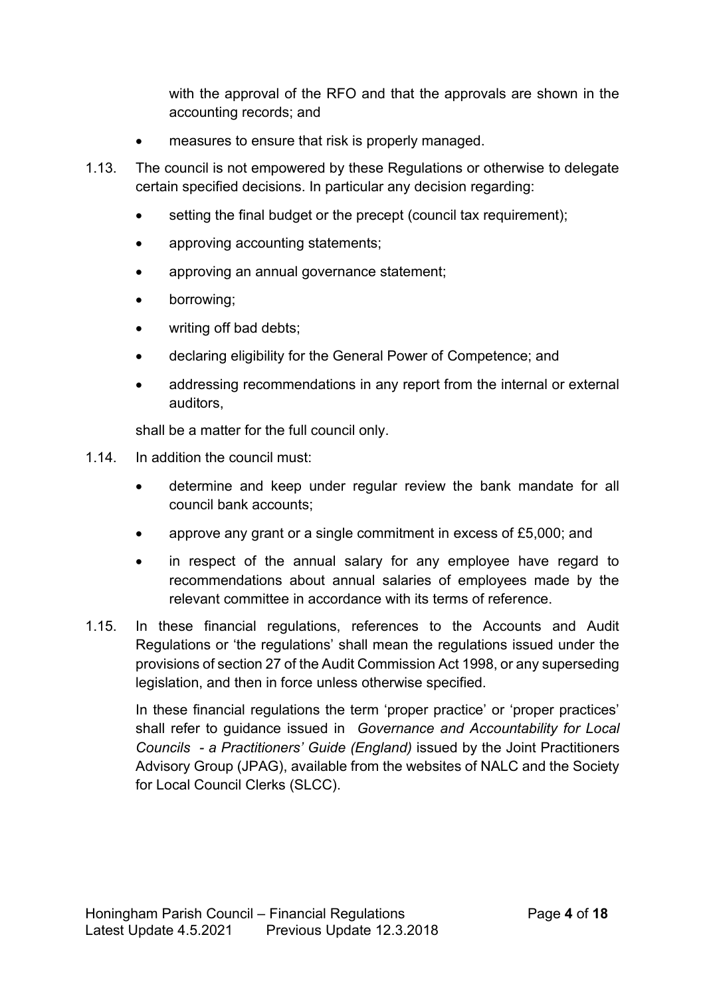with the approval of the RFO and that the approvals are shown in the accounting records; and

- measures to ensure that risk is properly managed.
- 1.13. The council is not empowered by these Regulations or otherwise to delegate certain specified decisions. In particular any decision regarding:
	- setting the final budget or the precept (council tax requirement);
	- approving accounting statements;
	- approving an annual governance statement;
	- borrowing;
	- writing off bad debts;
	- declaring eligibility for the General Power of Competence; and
	- addressing recommendations in any report from the internal or external auditors,

shall be a matter for the full council only.

- 1.14. In addition the council must:
	- determine and keep under regular review the bank mandate for all council bank accounts;
	- approve any grant or a single commitment in excess of £5,000; and
	- in respect of the annual salary for any employee have regard to recommendations about annual salaries of employees made by the relevant committee in accordance with its terms of reference.
- 1.15. In these financial regulations, references to the Accounts and Audit Regulations or 'the regulations' shall mean the regulations issued under the provisions of section 27 of the Audit Commission Act 1998, or any superseding legislation, and then in force unless otherwise specified.

In these financial regulations the term 'proper practice' or 'proper practices' shall refer to guidance issued in *Governance and Accountability for Local Councils - a Practitioners' Guide (England)* issued by the Joint Practitioners Advisory Group (JPAG), available from the websites of NALC and the Society for Local Council Clerks (SLCC).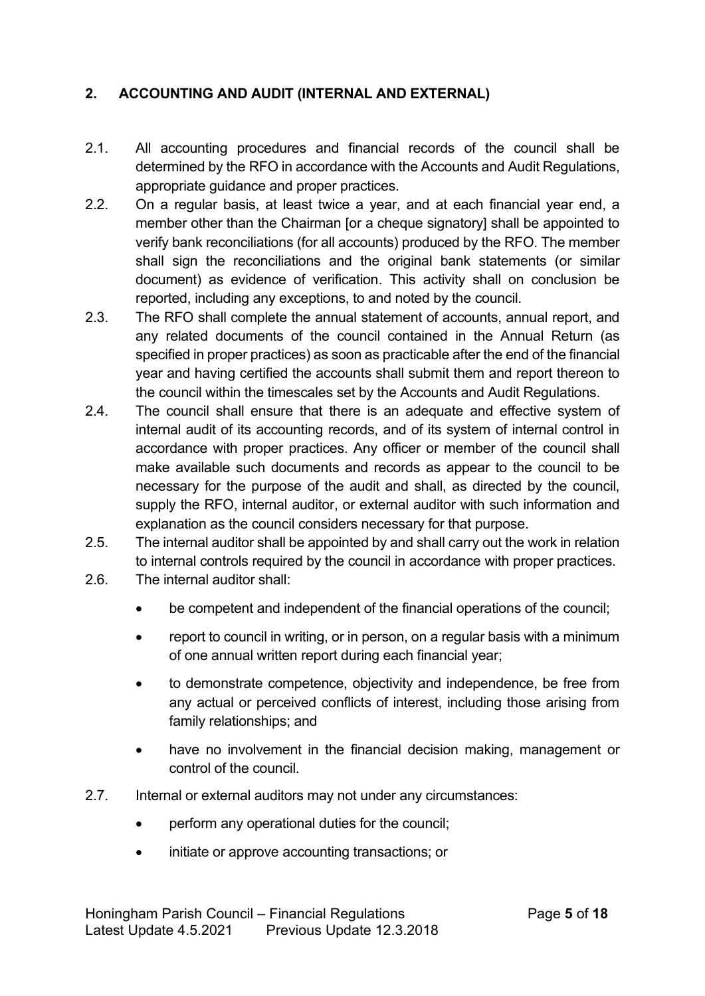# **2. ACCOUNTING AND AUDIT (INTERNAL AND EXTERNAL)**

- 2.1. All accounting procedures and financial records of the council shall be determined by the RFO in accordance with the Accounts and Audit Regulations, appropriate guidance and proper practices.
- 2.2. On a regular basis, at least twice a year, and at each financial year end, a member other than the Chairman [or a cheque signatory] shall be appointed to verify bank reconciliations (for all accounts) produced by the RFO. The member shall sign the reconciliations and the original bank statements (or similar document) as evidence of verification. This activity shall on conclusion be reported, including any exceptions, to and noted by the council.
- 2.3. The RFO shall complete the annual statement of accounts, annual report, and any related documents of the council contained in the Annual Return (as specified in proper practices) as soon as practicable after the end of the financial year and having certified the accounts shall submit them and report thereon to the council within the timescales set by the Accounts and Audit Regulations.
- 2.4. The council shall ensure that there is an adequate and effective system of internal audit of its accounting records, and of its system of internal control in accordance with proper practices. Any officer or member of the council shall make available such documents and records as appear to the council to be necessary for the purpose of the audit and shall, as directed by the council, supply the RFO, internal auditor, or external auditor with such information and explanation as the council considers necessary for that purpose.
- 2.5. The internal auditor shall be appointed by and shall carry out the work in relation to internal controls required by the council in accordance with proper practices.
- 2.6. The internal auditor shall:
	- be competent and independent of the financial operations of the council;
	- report to council in writing, or in person, on a regular basis with a minimum of one annual written report during each financial year;
	- to demonstrate competence, objectivity and independence, be free from any actual or perceived conflicts of interest, including those arising from family relationships; and
	- have no involvement in the financial decision making, management or control of the council.
- 2.7. Internal or external auditors may not under any circumstances:
	- perform any operational duties for the council:
	- initiate or approve accounting transactions; or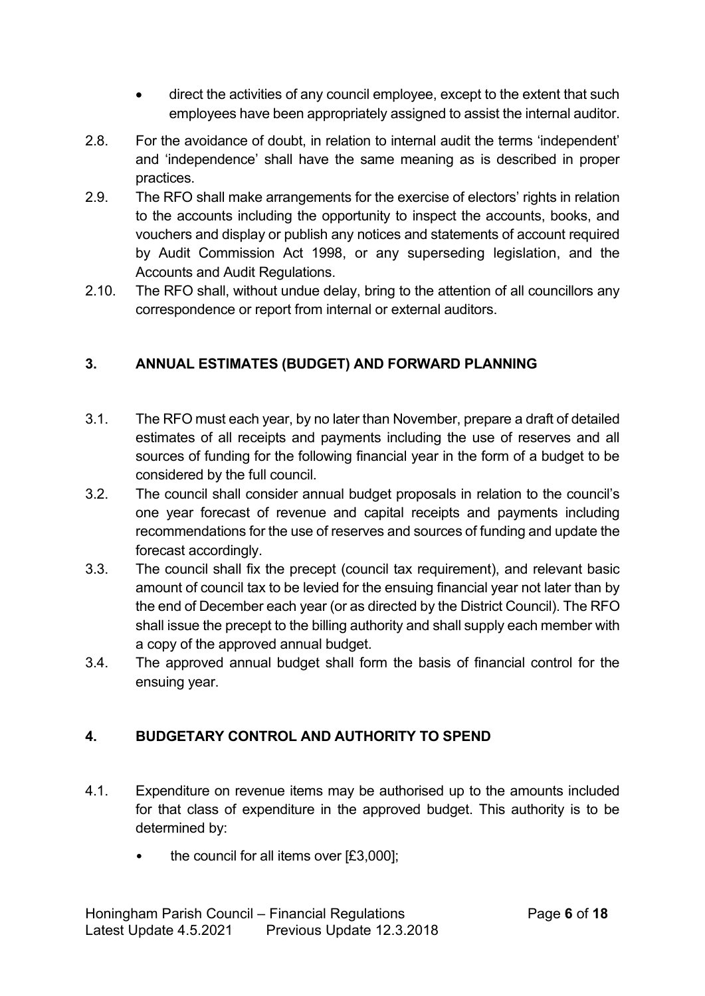- direct the activities of any council employee, except to the extent that such employees have been appropriately assigned to assist the internal auditor.
- 2.8. For the avoidance of doubt, in relation to internal audit the terms 'independent' and 'independence' shall have the same meaning as is described in proper practices.
- 2.9. The RFO shall make arrangements for the exercise of electors' rights in relation to the accounts including the opportunity to inspect the accounts, books, and vouchers and display or publish any notices and statements of account required by Audit Commission Act 1998, or any superseding legislation, and the Accounts and Audit Regulations.
- 2.10. The RFO shall, without undue delay, bring to the attention of all councillors any correspondence or report from internal or external auditors.

# **3. ANNUAL ESTIMATES (BUDGET) AND FORWARD PLANNING**

- 3.1. The RFO must each year, by no later than November, prepare a draft of detailed estimates of all receipts and payments including the use of reserves and all sources of funding for the following financial year in the form of a budget to be considered by the full council.
- 3.2. The council shall consider annual budget proposals in relation to the council's one year forecast of revenue and capital receipts and payments including recommendations for the use of reserves and sources of funding and update the forecast accordingly.
- 3.3. The council shall fix the precept (council tax requirement), and relevant basic amount of council tax to be levied for the ensuing financial year not later than by the end of December each year (or as directed by the District Council). The RFO shall issue the precept to the billing authority and shall supply each member with a copy of the approved annual budget.
- 3.4. The approved annual budget shall form the basis of financial control for the ensuing year.

# **4. BUDGETARY CONTROL AND AUTHORITY TO SPEND**

- 4.1. Expenditure on revenue items may be authorised up to the amounts included for that class of expenditure in the approved budget. This authority is to be determined by:
	- the council for all items over  $[£3,000]$ ;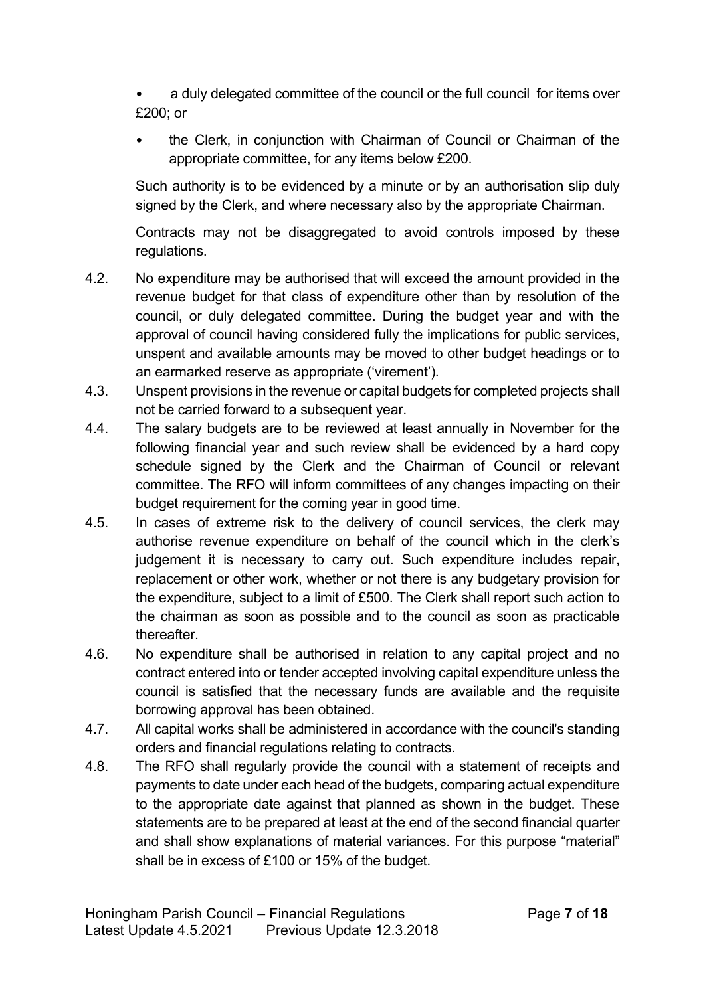• a duly delegated committee of the council or the full council for items over £200; or

• the Clerk, in conjunction with Chairman of Council or Chairman of the appropriate committee, for any items below £200.

Such authority is to be evidenced by a minute or by an authorisation slip duly signed by the Clerk, and where necessary also by the appropriate Chairman.

Contracts may not be disaggregated to avoid controls imposed by these regulations.

- 4.2. No expenditure may be authorised that will exceed the amount provided in the revenue budget for that class of expenditure other than by resolution of the council, or duly delegated committee. During the budget year and with the approval of council having considered fully the implications for public services, unspent and available amounts may be moved to other budget headings or to an earmarked reserve as appropriate ('virement').
- 4.3. Unspent provisions in the revenue or capital budgets for completed projects shall not be carried forward to a subsequent year.
- 4.4. The salary budgets are to be reviewed at least annually in November for the following financial year and such review shall be evidenced by a hard copy schedule signed by the Clerk and the Chairman of Council or relevant committee. The RFO will inform committees of any changes impacting on their budget requirement for the coming year in good time.
- 4.5. In cases of extreme risk to the delivery of council services, the clerk may authorise revenue expenditure on behalf of the council which in the clerk's judgement it is necessary to carry out. Such expenditure includes repair, replacement or other work, whether or not there is any budgetary provision for the expenditure, subject to a limit of £500. The Clerk shall report such action to the chairman as soon as possible and to the council as soon as practicable thereafter.
- 4.6. No expenditure shall be authorised in relation to any capital project and no contract entered into or tender accepted involving capital expenditure unless the council is satisfied that the necessary funds are available and the requisite borrowing approval has been obtained.
- 4.7. All capital works shall be administered in accordance with the council's standing orders and financial regulations relating to contracts.
- 4.8. The RFO shall regularly provide the council with a statement of receipts and payments to date under each head of the budgets, comparing actual expenditure to the appropriate date against that planned as shown in the budget. These statements are to be prepared at least at the end of the second financial quarter and shall show explanations of material variances. For this purpose "material" shall be in excess of £100 or 15% of the budget.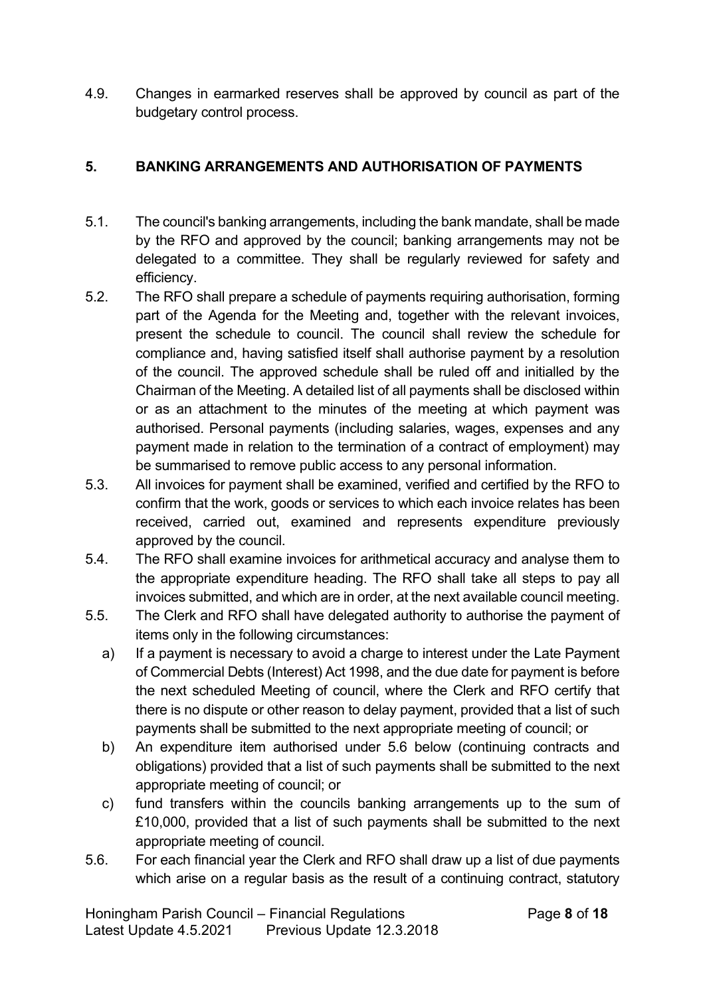4.9. Changes in earmarked reserves shall be approved by council as part of the budgetary control process.

#### **5. BANKING ARRANGEMENTS AND AUTHORISATION OF PAYMENTS**

- 5.1. The council's banking arrangements, including the bank mandate, shall be made by the RFO and approved by the council; banking arrangements may not be delegated to a committee. They shall be regularly reviewed for safety and efficiency.
- 5.2. The RFO shall prepare a schedule of payments requiring authorisation, forming part of the Agenda for the Meeting and, together with the relevant invoices, present the schedule to council. The council shall review the schedule for compliance and, having satisfied itself shall authorise payment by a resolution of the council. The approved schedule shall be ruled off and initialled by the Chairman of the Meeting. A detailed list of all payments shall be disclosed within or as an attachment to the minutes of the meeting at which payment was authorised. Personal payments (including salaries, wages, expenses and any payment made in relation to the termination of a contract of employment) may be summarised to remove public access to any personal information.
- 5.3. All invoices for payment shall be examined, verified and certified by the RFO to confirm that the work, goods or services to which each invoice relates has been received, carried out, examined and represents expenditure previously approved by the council.
- 5.4. The RFO shall examine invoices for arithmetical accuracy and analyse them to the appropriate expenditure heading. The RFO shall take all steps to pay all invoices submitted, and which are in order, at the next available council meeting.
- 5.5. The Clerk and RFO shall have delegated authority to authorise the payment of items only in the following circumstances:
	- a) If a payment is necessary to avoid a charge to interest under the Late Payment of Commercial Debts (Interest) Act 1998, and the due date for payment is before the next scheduled Meeting of council, where the Clerk and RFO certify that there is no dispute or other reason to delay payment, provided that a list of such payments shall be submitted to the next appropriate meeting of council; or
	- b) An expenditure item authorised under 5.6 below (continuing contracts and obligations) provided that a list of such payments shall be submitted to the next appropriate meeting of council; or
	- c) fund transfers within the councils banking arrangements up to the sum of £10,000, provided that a list of such payments shall be submitted to the next appropriate meeting of council.
- 5.6. For each financial year the Clerk and RFO shall draw up a list of due payments which arise on a regular basis as the result of a continuing contract, statutory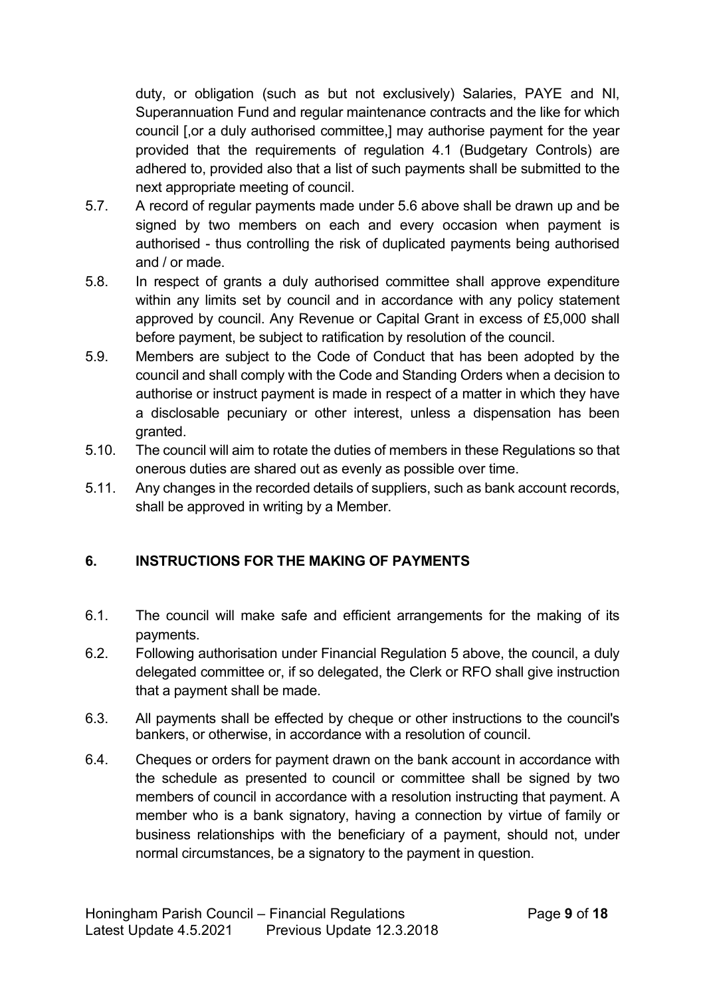duty, or obligation (such as but not exclusively) Salaries, PAYE and NI, Superannuation Fund and regular maintenance contracts and the like for which council [,or a duly authorised committee,] may authorise payment for the year provided that the requirements of regulation 4.1 (Budgetary Controls) are adhered to, provided also that a list of such payments shall be submitted to the next appropriate meeting of council.

- 5.7. A record of regular payments made under 5.6 above shall be drawn up and be signed by two members on each and every occasion when payment is authorised - thus controlling the risk of duplicated payments being authorised and / or made.
- 5.8. In respect of grants a duly authorised committee shall approve expenditure within any limits set by council and in accordance with any policy statement approved by council. Any Revenue or Capital Grant in excess of £5,000 shall before payment, be subject to ratification by resolution of the council.
- 5.9. Members are subject to the Code of Conduct that has been adopted by the council and shall comply with the Code and Standing Orders when a decision to authorise or instruct payment is made in respect of a matter in which they have a disclosable pecuniary or other interest, unless a dispensation has been granted.
- 5.10. The council will aim to rotate the duties of members in these Regulations so that onerous duties are shared out as evenly as possible over time.
- 5.11. Any changes in the recorded details of suppliers, such as bank account records, shall be approved in writing by a Member.

# **6. INSTRUCTIONS FOR THE MAKING OF PAYMENTS**

- 6.1. The council will make safe and efficient arrangements for the making of its payments.
- 6.2. Following authorisation under Financial Regulation 5 above, the council, a duly delegated committee or, if so delegated, the Clerk or RFO shall give instruction that a payment shall be made.
- 6.3. All payments shall be effected by cheque or other instructions to the council's bankers, or otherwise, in accordance with a resolution of council.
- 6.4. Cheques or orders for payment drawn on the bank account in accordance with the schedule as presented to council or committee shall be signed by two members of council in accordance with a resolution instructing that payment. A member who is a bank signatory, having a connection by virtue of family or business relationships with the beneficiary of a payment, should not, under normal circumstances, be a signatory to the payment in question.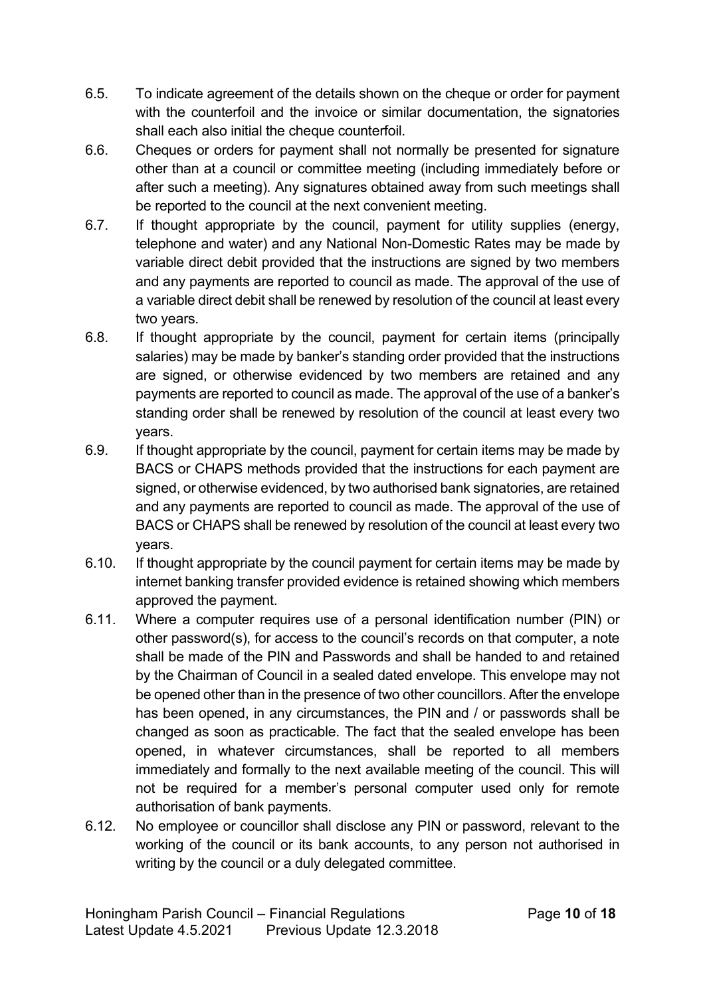- 6.5. To indicate agreement of the details shown on the cheque or order for payment with the counterfoil and the invoice or similar documentation, the signatories shall each also initial the cheque counterfoil.
- 6.6. Cheques or orders for payment shall not normally be presented for signature other than at a council or committee meeting (including immediately before or after such a meeting). Any signatures obtained away from such meetings shall be reported to the council at the next convenient meeting.
- 6.7. If thought appropriate by the council, payment for utility supplies (energy, telephone and water) and any National Non-Domestic Rates may be made by variable direct debit provided that the instructions are signed by two members and any payments are reported to council as made. The approval of the use of a variable direct debit shall be renewed by resolution of the council at least every two years.
- 6.8. If thought appropriate by the council, payment for certain items (principally salaries) may be made by banker's standing order provided that the instructions are signed, or otherwise evidenced by two members are retained and any payments are reported to council as made. The approval of the use of a banker's standing order shall be renewed by resolution of the council at least every two years.
- 6.9. If thought appropriate by the council, payment for certain items may be made by BACS or CHAPS methods provided that the instructions for each payment are signed, or otherwise evidenced, by two authorised bank signatories, are retained and any payments are reported to council as made. The approval of the use of BACS or CHAPS shall be renewed by resolution of the council at least every two years.
- 6.10. If thought appropriate by the council payment for certain items may be made by internet banking transfer provided evidence is retained showing which members approved the payment.
- 6.11. Where a computer requires use of a personal identification number (PIN) or other password(s), for access to the council's records on that computer, a note shall be made of the PIN and Passwords and shall be handed to and retained by the Chairman of Council in a sealed dated envelope. This envelope may not be opened other than in the presence of two other councillors. After the envelope has been opened, in any circumstances, the PIN and / or passwords shall be changed as soon as practicable. The fact that the sealed envelope has been opened, in whatever circumstances, shall be reported to all members immediately and formally to the next available meeting of the council. This will not be required for a member's personal computer used only for remote authorisation of bank payments.
- 6.12. No employee or councillor shall disclose any PIN or password, relevant to the working of the council or its bank accounts, to any person not authorised in writing by the council or a duly delegated committee.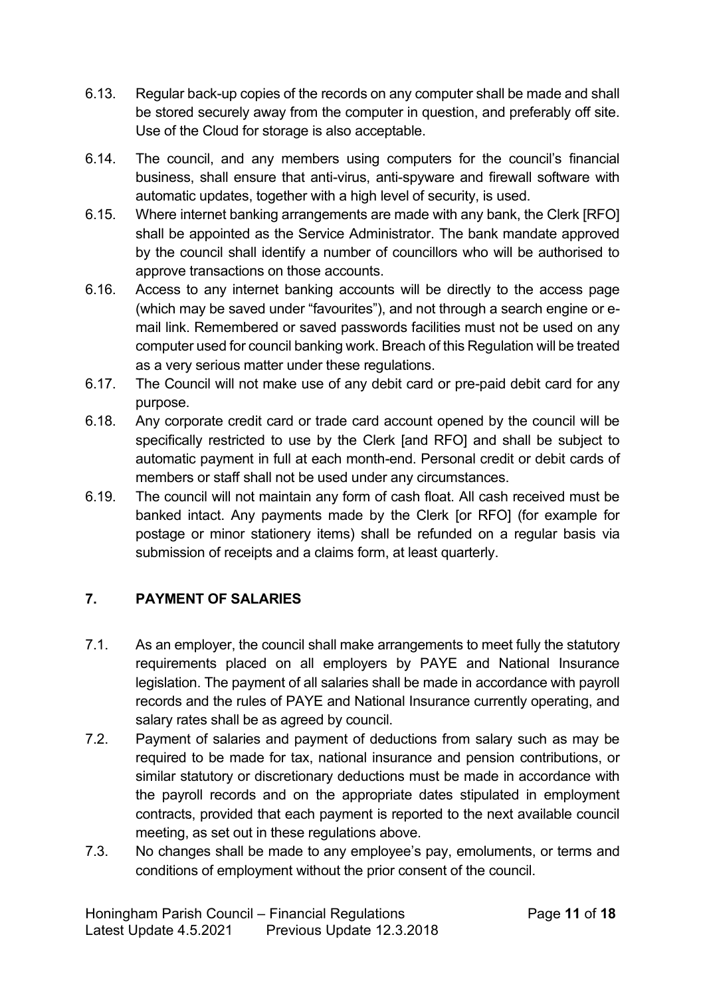- 6.13. Regular back-up copies of the records on any computer shall be made and shall be stored securely away from the computer in question, and preferably off site. Use of the Cloud for storage is also acceptable.
- 6.14. The council, and any members using computers for the council's financial business, shall ensure that anti-virus, anti-spyware and firewall software with automatic updates, together with a high level of security, is used.
- 6.15. Where internet banking arrangements are made with any bank, the Clerk [RFO] shall be appointed as the Service Administrator. The bank mandate approved by the council shall identify a number of councillors who will be authorised to approve transactions on those accounts.
- 6.16. Access to any internet banking accounts will be directly to the access page (which may be saved under "favourites"), and not through a search engine or email link. Remembered or saved passwords facilities must not be used on any computer used for council banking work. Breach of this Regulation will be treated as a very serious matter under these regulations.
- 6.17. The Council will not make use of any debit card or pre-paid debit card for any purpose.
- 6.18. Any corporate credit card or trade card account opened by the council will be specifically restricted to use by the Clerk [and RFO] and shall be subject to automatic payment in full at each month-end. Personal credit or debit cards of members or staff shall not be used under any circumstances.
- 6.19. The council will not maintain any form of cash float. All cash received must be banked intact. Any payments made by the Clerk [or RFO] (for example for postage or minor stationery items) shall be refunded on a regular basis via submission of receipts and a claims form, at least quarterly.

# **7. PAYMENT OF SALARIES**

- 7.1. As an employer, the council shall make arrangements to meet fully the statutory requirements placed on all employers by PAYE and National Insurance legislation. The payment of all salaries shall be made in accordance with payroll records and the rules of PAYE and National Insurance currently operating, and salary rates shall be as agreed by council.
- 7.2. Payment of salaries and payment of deductions from salary such as may be required to be made for tax, national insurance and pension contributions, or similar statutory or discretionary deductions must be made in accordance with the payroll records and on the appropriate dates stipulated in employment contracts, provided that each payment is reported to the next available council meeting, as set out in these regulations above.
- 7.3. No changes shall be made to any employee's pay, emoluments, or terms and conditions of employment without the prior consent of the council.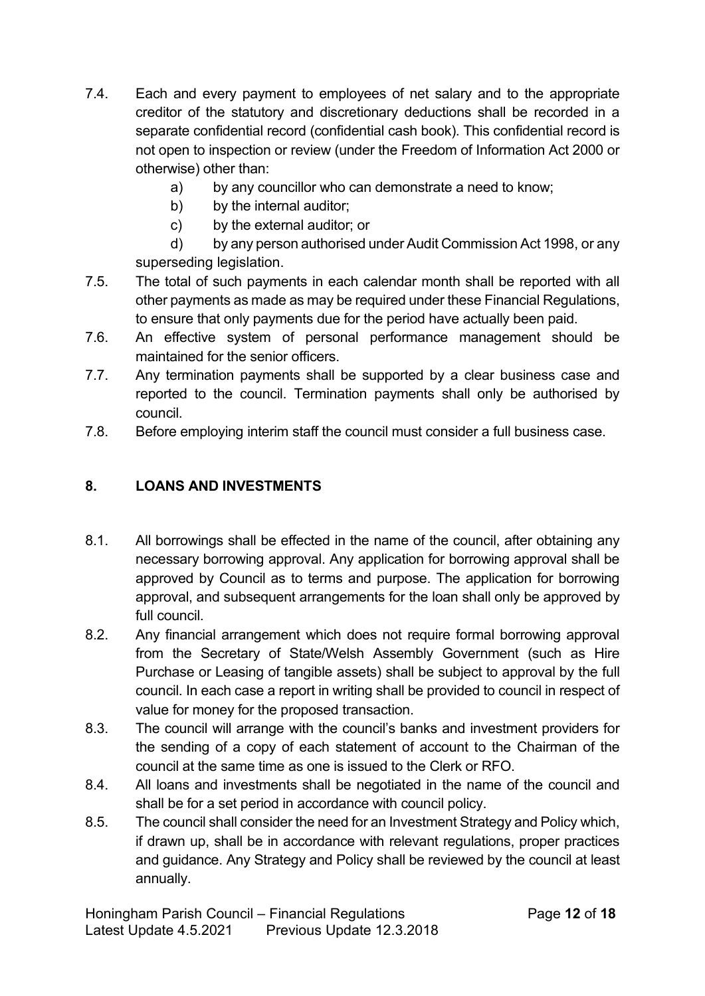- 7.4. Each and every payment to employees of net salary and to the appropriate creditor of the statutory and discretionary deductions shall be recorded in a separate confidential record (confidential cash book). This confidential record is not open to inspection or review (under the Freedom of Information Act 2000 or otherwise) other than:
	- a) by any councillor who can demonstrate a need to know;
	- b) by the internal auditor;
	- c) by the external auditor; or

d) by any person authorised under Audit Commission Act 1998, or any superseding legislation.

- 7.5. The total of such payments in each calendar month shall be reported with all other payments as made as may be required under these Financial Regulations, to ensure that only payments due for the period have actually been paid.
- 7.6. An effective system of personal performance management should be maintained for the senior officers.
- 7.7. Any termination payments shall be supported by a clear business case and reported to the council. Termination payments shall only be authorised by council.
- 7.8. Before employing interim staff the council must consider a full business case.

# **8. LOANS AND INVESTMENTS**

- 8.1. All borrowings shall be effected in the name of the council, after obtaining any necessary borrowing approval. Any application for borrowing approval shall be approved by Council as to terms and purpose. The application for borrowing approval, and subsequent arrangements for the loan shall only be approved by full council.
- 8.2. Any financial arrangement which does not require formal borrowing approval from the Secretary of State/Welsh Assembly Government (such as Hire Purchase or Leasing of tangible assets) shall be subject to approval by the full council. In each case a report in writing shall be provided to council in respect of value for money for the proposed transaction.
- 8.3. The council will arrange with the council's banks and investment providers for the sending of a copy of each statement of account to the Chairman of the council at the same time as one is issued to the Clerk or RFO.
- 8.4. All loans and investments shall be negotiated in the name of the council and shall be for a set period in accordance with council policy.
- 8.5. The council shall consider the need for an Investment Strategy and Policy which, if drawn up, shall be in accordance with relevant regulations, proper practices and guidance. Any Strategy and Policy shall be reviewed by the council at least annually.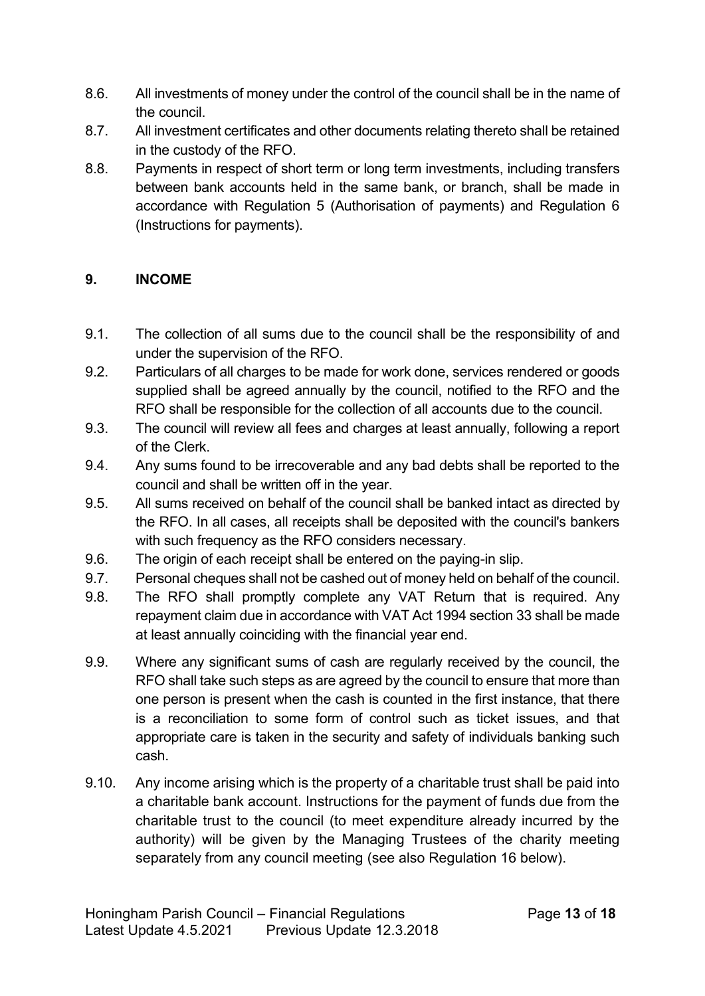- 8.6. All investments of money under the control of the council shall be in the name of the council.
- 8.7. All investment certificates and other documents relating thereto shall be retained in the custody of the RFO.
- 8.8. Payments in respect of short term or long term investments, including transfers between bank accounts held in the same bank, or branch, shall be made in accordance with Regulation 5 (Authorisation of payments) and Regulation 6 (Instructions for payments).

#### **9. INCOME**

- 9.1. The collection of all sums due to the council shall be the responsibility of and under the supervision of the RFO.
- 9.2. Particulars of all charges to be made for work done, services rendered or goods supplied shall be agreed annually by the council, notified to the RFO and the RFO shall be responsible for the collection of all accounts due to the council.
- 9.3. The council will review all fees and charges at least annually, following a report of the Clerk.
- 9.4. Any sums found to be irrecoverable and any bad debts shall be reported to the council and shall be written off in the year.
- 9.5. All sums received on behalf of the council shall be banked intact as directed by the RFO. In all cases, all receipts shall be deposited with the council's bankers with such frequency as the RFO considers necessary.
- 9.6. The origin of each receipt shall be entered on the paying-in slip.
- 9.7. Personal cheques shall not be cashed out of money held on behalf of the council.
- 9.8. The RFO shall promptly complete any VAT Return that is required. Any repayment claim due in accordance with VAT Act 1994 section 33 shall be made at least annually coinciding with the financial year end.
- 9.9. Where any significant sums of cash are regularly received by the council, the RFO shall take such steps as are agreed by the council to ensure that more than one person is present when the cash is counted in the first instance, that there is a reconciliation to some form of control such as ticket issues, and that appropriate care is taken in the security and safety of individuals banking such cash.
- 9.10. Any income arising which is the property of a charitable trust shall be paid into a charitable bank account. Instructions for the payment of funds due from the charitable trust to the council (to meet expenditure already incurred by the authority) will be given by the Managing Trustees of the charity meeting separately from any council meeting (see also Regulation 16 below).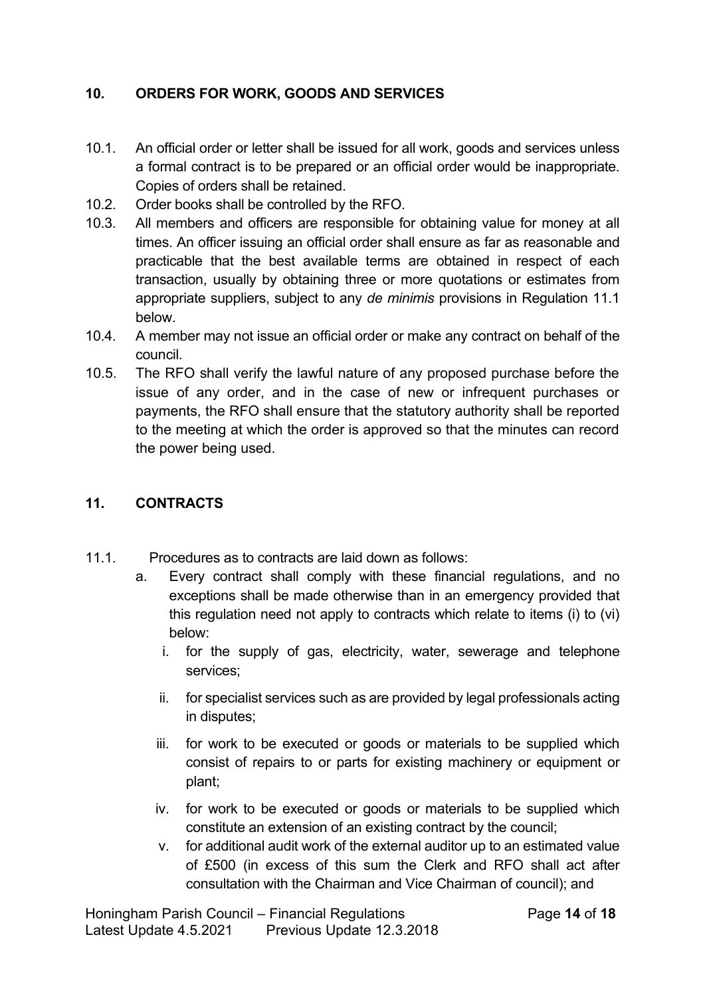#### **10. ORDERS FOR WORK, GOODS AND SERVICES**

- 10.1. An official order or letter shall be issued for all work, goods and services unless a formal contract is to be prepared or an official order would be inappropriate. Copies of orders shall be retained.
- 10.2. Order books shall be controlled by the RFO.
- 10.3. All members and officers are responsible for obtaining value for money at all times. An officer issuing an official order shall ensure as far as reasonable and practicable that the best available terms are obtained in respect of each transaction, usually by obtaining three or more quotations or estimates from appropriate suppliers, subject to any *de minimis* provisions in Regulation 11.1 below.
- 10.4. A member may not issue an official order or make any contract on behalf of the council.
- 10.5. The RFO shall verify the lawful nature of any proposed purchase before the issue of any order, and in the case of new or infrequent purchases or payments, the RFO shall ensure that the statutory authority shall be reported to the meeting at which the order is approved so that the minutes can record the power being used.

#### **11. CONTRACTS**

- 11.1. Procedures as to contracts are laid down as follows:
	- a. Every contract shall comply with these financial regulations, and no exceptions shall be made otherwise than in an emergency provided that this regulation need not apply to contracts which relate to items (i) to (vi) below:
		- i. for the supply of gas, electricity, water, sewerage and telephone services;
		- ii. for specialist services such as are provided by legal professionals acting in disputes;
		- iii. for work to be executed or goods or materials to be supplied which consist of repairs to or parts for existing machinery or equipment or plant;
		- iv. for work to be executed or goods or materials to be supplied which constitute an extension of an existing contract by the council;
		- v. for additional audit work of the external auditor up to an estimated value of £500 (in excess of this sum the Clerk and RFO shall act after consultation with the Chairman and Vice Chairman of council); and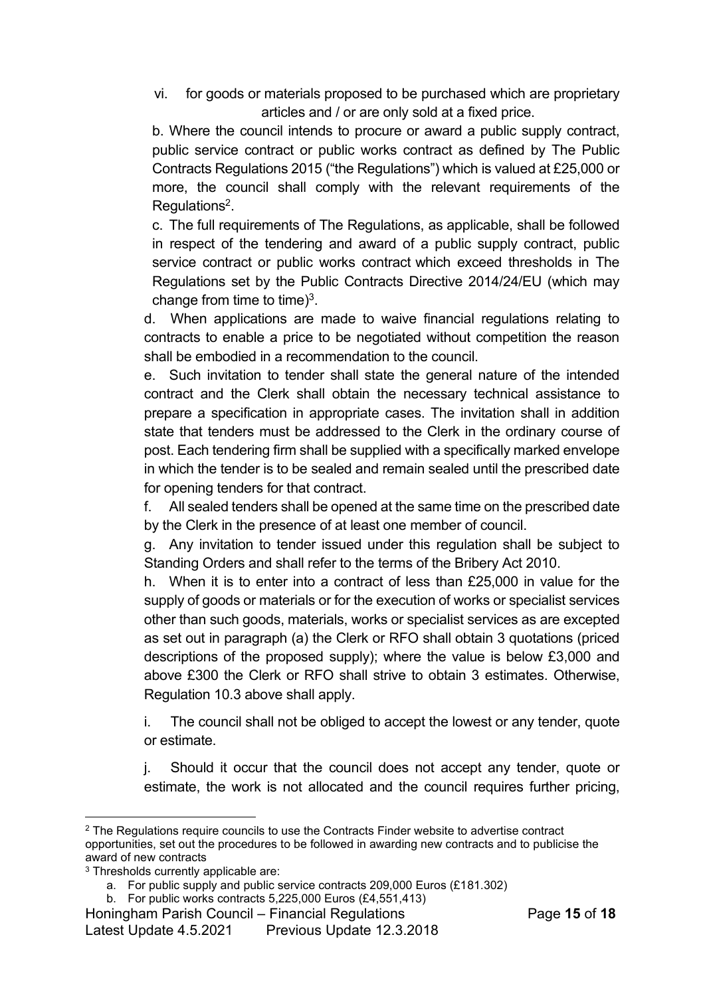vi. for goods or materials proposed to be purchased which are proprietary articles and / or are only sold at a fixed price.

b. Where the council intends to procure or award a public supply contract, public service contract or public works contract as defined by The Public Contracts Regulations 2015 ("the Regulations") which is valued at £25,000 or more, the council shall comply with the relevant requirements of the Regulations<sup>2</sup>.

c. The full requirements of The Regulations, as applicable, shall be followed in respect of the tendering and award of a public supply contract, public service contract or public works contract which exceed thresholds in The Regulations set by the Public Contracts Directive 2014/24/EU (which may change from time to time) $3$ .

d. When applications are made to waive financial regulations relating to contracts to enable a price to be negotiated without competition the reason shall be embodied in a recommendation to the council.

e. Such invitation to tender shall state the general nature of the intended contract and the Clerk shall obtain the necessary technical assistance to prepare a specification in appropriate cases. The invitation shall in addition state that tenders must be addressed to the Clerk in the ordinary course of post. Each tendering firm shall be supplied with a specifically marked envelope in which the tender is to be sealed and remain sealed until the prescribed date for opening tenders for that contract.

f. All sealed tenders shall be opened at the same time on the prescribed date by the Clerk in the presence of at least one member of council.

g. Any invitation to tender issued under this regulation shall be subject to Standing Orders and shall refer to the terms of the Bribery Act 2010.

h. When it is to enter into a contract of less than £25,000 in value for the supply of goods or materials or for the execution of works or specialist services other than such goods, materials, works or specialist services as are excepted as set out in paragraph (a) the Clerk or RFO shall obtain 3 quotations (priced descriptions of the proposed supply); where the value is below £3,000 and above £300 the Clerk or RFO shall strive to obtain 3 estimates. Otherwise, Regulation 10.3 above shall apply.

i. The council shall not be obliged to accept the lowest or any tender, quote or estimate.

j. Should it occur that the council does not accept any tender, quote or estimate, the work is not allocated and the council requires further pricing,

<sup>&</sup>lt;sup>2</sup> The Regulations require councils to use the Contracts Finder website to advertise contract opportunities, set out the procedures to be followed in awarding new contracts and to publicise the award of new contracts

<sup>3</sup> Thresholds currently applicable are:

a. For public supply and public service contracts 209,000 Euros (£181.302)

b. For public works contracts 5,225,000 Euros (£4,551,413)

Honingham Parish Council – Financial Regulations Page **15** of **18**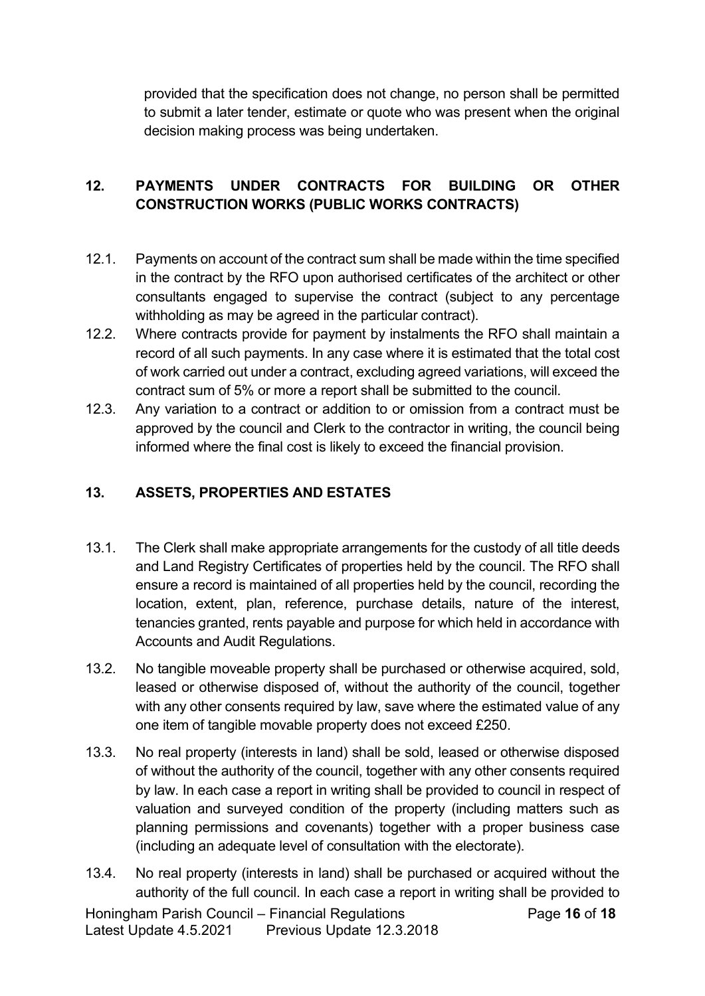provided that the specification does not change, no person shall be permitted to submit a later tender, estimate or quote who was present when the original decision making process was being undertaken.

# **12. PAYMENTS UNDER CONTRACTS FOR BUILDING OR OTHER CONSTRUCTION WORKS (PUBLIC WORKS CONTRACTS)**

- 12.1. Payments on account of the contract sum shall be made within the time specified in the contract by the RFO upon authorised certificates of the architect or other consultants engaged to supervise the contract (subject to any percentage withholding as may be agreed in the particular contract).
- 12.2. Where contracts provide for payment by instalments the RFO shall maintain a record of all such payments. In any case where it is estimated that the total cost of work carried out under a contract, excluding agreed variations, will exceed the contract sum of 5% or more a report shall be submitted to the council.
- 12.3. Any variation to a contract or addition to or omission from a contract must be approved by the council and Clerk to the contractor in writing, the council being informed where the final cost is likely to exceed the financial provision.

# **13. ASSETS, PROPERTIES AND ESTATES**

- 13.1. The Clerk shall make appropriate arrangements for the custody of all title deeds and Land Registry Certificates of properties held by the council. The RFO shall ensure a record is maintained of all properties held by the council, recording the location, extent, plan, reference, purchase details, nature of the interest, tenancies granted, rents payable and purpose for which held in accordance with Accounts and Audit Regulations.
- 13.2. No tangible moveable property shall be purchased or otherwise acquired, sold, leased or otherwise disposed of, without the authority of the council, together with any other consents required by law, save where the estimated value of any one item of tangible movable property does not exceed £250.
- 13.3. No real property (interests in land) shall be sold, leased or otherwise disposed of without the authority of the council, together with any other consents required by law. In each case a report in writing shall be provided to council in respect of valuation and surveyed condition of the property (including matters such as planning permissions and covenants) together with a proper business case (including an adequate level of consultation with the electorate).
- 13.4. No real property (interests in land) shall be purchased or acquired without the authority of the full council. In each case a report in writing shall be provided to

Honingham Parish Council – Financial Regulations Page **16** of **18** Latest Update 4.5.2021 Previous Update 12.3.2018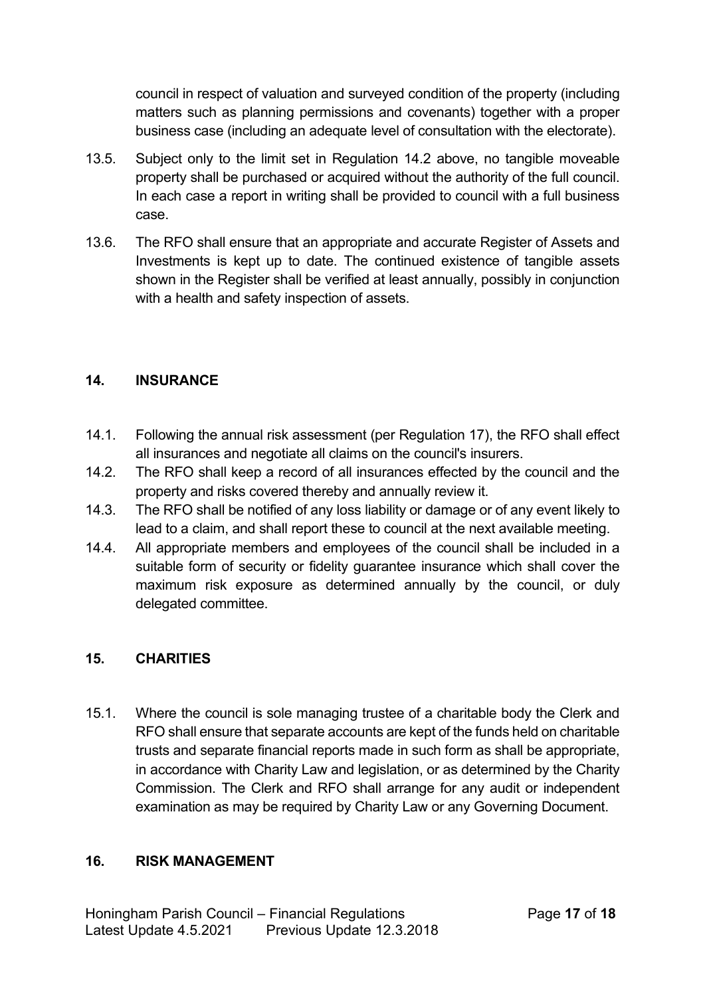council in respect of valuation and surveyed condition of the property (including matters such as planning permissions and covenants) together with a proper business case (including an adequate level of consultation with the electorate).

- 13.5. Subject only to the limit set in Regulation 14.2 above, no tangible moveable property shall be purchased or acquired without the authority of the full council. In each case a report in writing shall be provided to council with a full business case.
- 13.6. The RFO shall ensure that an appropriate and accurate Register of Assets and Investments is kept up to date. The continued existence of tangible assets shown in the Register shall be verified at least annually, possibly in conjunction with a health and safety inspection of assets.

#### **14. INSURANCE**

- 14.1. Following the annual risk assessment (per Regulation 17), the RFO shall effect all insurances and negotiate all claims on the council's insurers.
- 14.2. The RFO shall keep a record of all insurances effected by the council and the property and risks covered thereby and annually review it.
- 14.3. The RFO shall be notified of any loss liability or damage or of any event likely to lead to a claim, and shall report these to council at the next available meeting.
- 14.4. All appropriate members and employees of the council shall be included in a suitable form of security or fidelity guarantee insurance which shall cover the maximum risk exposure as determined annually by the council, or duly delegated committee.

# **15. CHARITIES**

15.1. Where the council is sole managing trustee of a charitable body the Clerk and RFO shall ensure that separate accounts are kept of the funds held on charitable trusts and separate financial reports made in such form as shall be appropriate, in accordance with Charity Law and legislation, or as determined by the Charity Commission. The Clerk and RFO shall arrange for any audit or independent examination as may be required by Charity Law or any Governing Document.

#### **16. RISK MANAGEMENT**